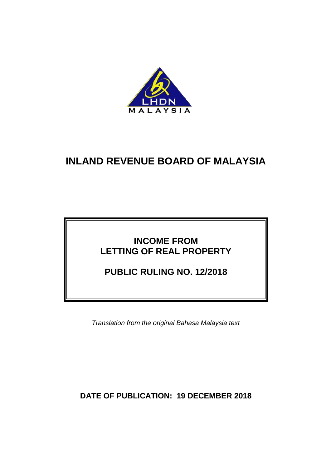

# **INLAND REVENUE BOARD OF MALAYSIA**

## **INCOME FROM LETTING OF REAL PROPERTY**

**PUBLIC RULING NO. 12/2018**

*Translation from the original Bahasa Malaysia text*

**DATE OF PUBLICATION: 19 DECEMBER 2018**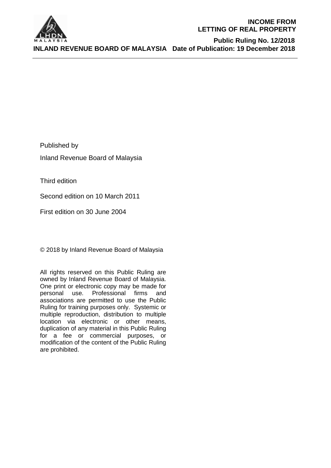

#### **INCOME FROM LETTING OF REAL PROPERTY**

 **Public Ruling No. 12/2018 INLAND REVENUE BOARD OF MALAYSIA Date of Publication: 19 December 2018**

Published by

Inland Revenue Board of Malaysia

Third edition

Second edition on 10 March 2011

First edition on 30 June 2004

© 2018 by Inland Revenue Board of Malaysia

All rights reserved on this Public Ruling are owned by Inland Revenue Board of Malaysia. One print or electronic copy may be made for personal use. Professional firms and associations are permitted to use the Public Ruling for training purposes only. Systemic or multiple reproduction, distribution to multiple location via electronic or other means, duplication of any material in this Public Ruling for a fee or commercial purposes, or modification of the content of the Public Ruling are prohibited.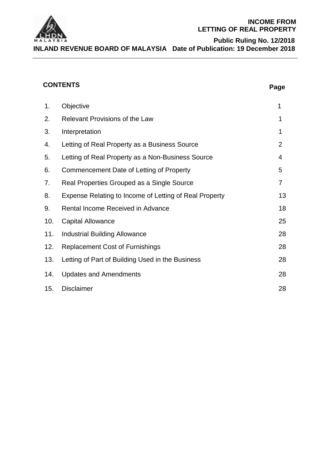

#### **INCOME FROM LETTING OF REAL PROPERTY**

**Public Ruling No. 12/2018 INLAND REVENUE BOARD OF MALAYSIA Date of Publication: 19 December 2018**

## **CONTENTS Page**

| 1.  | Objective                                              | 1              |
|-----|--------------------------------------------------------|----------------|
| 2.  | <b>Relevant Provisions of the Law</b>                  | 1              |
| 3.  | Interpretation                                         | 1              |
| 4.  | Letting of Real Property as a Business Source          | $\overline{2}$ |
| 5.  | Letting of Real Property as a Non-Business Source      | 4              |
| 6.  | Commencement Date of Letting of Property               | 5              |
| 7.  | Real Properties Grouped as a Single Source             | 7              |
| 8.  | Expense Relating to Income of Letting of Real Property | 13             |
| 9.  | Rental Income Received in Advance                      | 18             |
| 10. | <b>Capital Allowance</b>                               | 25             |
| 11. | <b>Industrial Building Allowance</b>                   | 28             |
| 12. | <b>Replacement Cost of Furnishings</b>                 | 28             |
| 13. | Letting of Part of Building Used in the Business       | 28             |
| 14. | <b>Updates and Amendments</b>                          | 28             |
| 15. | <b>Disclaimer</b>                                      | 28             |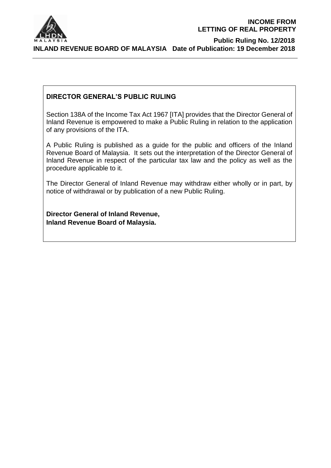

#### **DIRECTOR GENERAL'S PUBLIC RULING**

Section 138A of the Income Tax Act 1967 [ITA] provides that the Director General of Inland Revenue is empowered to make a Public Ruling in relation to the application of any provisions of the ITA.

A Public Ruling is published as a guide for the public and officers of the Inland Revenue Board of Malaysia. It sets out the interpretation of the Director General of Inland Revenue in respect of the particular tax law and the policy as well as the procedure applicable to it.

The Director General of Inland Revenue may withdraw either wholly or in part, by notice of withdrawal or by publication of a new Public Ruling.

**Director General of Inland Revenue, Inland Revenue Board of Malaysia.**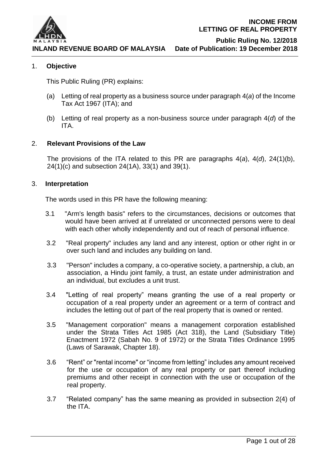

**INLAND REVENUE BOARD OF MALAYSIA Date of Publication: 19 December 2018**

 **Public Ruling No. 12/2018**

#### 1. **Objective**

This Public Ruling (PR) explains:

- (a) Letting of real property as a business source under paragraph 4(*a*) of the Income Tax Act 1967 (ITA); and
- (b) Letting of real property as a non-business source under paragraph 4(*d*) of the ITA.

#### 2. **Relevant Provisions of the Law**

The provisions of the ITA related to this PR are paragraphs 4(*a*), 4(*d*), 24(1)(b), 24(1)(c) and subsection 24(1A), 33(1) and 39(1).

#### 3. **Interpretation**

The words used in this PR have the following meaning:

- 3.1 "Arm's length basis" refers to the circumstances, decisions or outcomes that would have been arrived at if unrelated or unconnected persons were to deal with each other wholly independently and out of reach of personal influence.
- 3.2 "Real property" includes any land and any interest, option or other right in or over such land and includes any building on land.
- 3.3 "Person" includes a company, a co-operative society, a partnership, a club, an association, a Hindu joint family, a trust, an estate under administration and an individual, but excludes a unit trust.
- 3.4 "Letting of real property" means granting the use of a real property or occupation of a real property under an agreement or a term of contract and includes the letting out of part of the real property that is owned or rented.
- 3.5 "Management corporation" means a management corporation established under the Strata Titles Act 1985 (Act 318), the Land (Subsidiary Title) Enactment 1972 (Sabah No. 9 of 1972) or the Strata Titles Ordinance 1995 (Laws of Sarawak, Chapter 18).
- 3.6 "Rent" or "rental income" or "income from letting" includes any amount received for the use or occupation of any real property or part thereof including premiums and other receipt in connection with the use or occupation of the real property.
- 3.7 "Related company" has the same meaning as provided in subsection 2(4) of the ITA.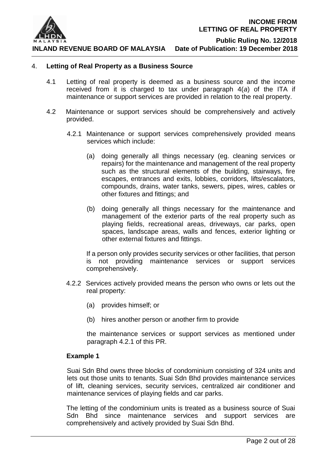

 **Public Ruling No. 12/2018**

**INLAND REVENUE BOARD OF MALAYSIA Date of Publication: 19 December 2018**

#### 4. **Letting of Real Property as a Business Source**

- 4.1 Letting of real property is deemed as a business source and the income received from it is charged to tax under paragraph 4(*a*) of the ITA if maintenance or support services are provided in relation to the real property.
- 4.2 Maintenance or support services should be comprehensively and actively provided.
	- 4.2.1 Maintenance or support services comprehensively provided means services which include:
		- (a) doing generally all things necessary (eg. cleaning services or repairs) for the maintenance and management of the real property such as the structural elements of the building, stairways, fire escapes, entrances and exits, lobbies, corridors, lifts/escalators, compounds, drains, water tanks, sewers, pipes, wires, cables or other fixtures and fittings; and
		- (b) doing generally all things necessary for the maintenance and management of the exterior parts of the real property such as playing fields, recreational areas, driveways, car parks, open spaces, landscape areas, walls and fences, exterior lighting or other external fixtures and fittings.

If a person only provides security services or other facilities, that person is not providing maintenance services or support services comprehensively.

- 4.2.2 Services actively provided means the person who owns or lets out the real property:
	- (a) provides himself; or
	- (b) hires another person or another firm to provide

the maintenance services or support services as mentioned under paragraph 4.2.1 of this PR.

#### **Example 1**

Suai Sdn Bhd owns three blocks of condominium consisting of 324 units and lets out those units to tenants. Suai Sdn Bhd provides maintenance services of lift, cleaning services, security services, centralized air conditioner and maintenance services of playing fields and car parks.

The letting of the condominium units is treated as a business source of Suai Sdn Bhd since maintenance services and support services are comprehensively and actively provided by Suai Sdn Bhd.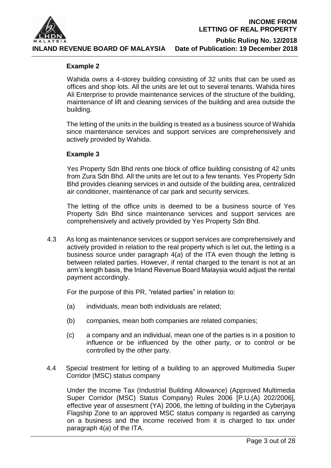

**INLAND REVENUE BOARD OF MALAYSIA Date of Publication: 19 December 2018**

# **Public Ruling No. 12/2018**

#### **Example 2**

Wahida owns a 4-storey building consisting of 32 units that can be used as offices and shop lots. All the units are let out to several tenants. Wahida hires Ali Enterprise to provide maintenance services of the structure of the building, maintenance of lift and cleaning services of the building and area outside the building.

The letting of the units in the building is treated as a business source of Wahida since maintenance services and support services are comprehensively and actively provided by Wahida.

#### **Example 3**

Yes Property Sdn Bhd rents one block of office building consisting of 42 units from Zura Sdn Bhd. All the units are let out to a few tenants. Yes Property Sdn Bhd provides cleaning services in and outside of the building area, centralized air conditioner, maintenance of car park and security services.

The letting of the office units is deemed to be a business source of Yes Property Sdn Bhd since maintenance services and support services are comprehensively and actively provided by Yes Property Sdn Bhd.

4.3 As long as maintenance services or support services are comprehensively and actively provided in relation to the real property which is let out, the letting is a business source under paragraph 4(*a*) of the ITA even though the letting is between related parties. However, if rental charged to the tenant is not at an arm's length basis, the Inland Revenue Board Malaysia would adjust the rental payment accordingly.

For the purpose of this PR, "related parties" in relation to:

- (a) individuals, mean both individuals are related;
- (b) companies, mean both companies are related companies;
- (c) a company and an individual, mean one of the parties is in a position to influence or be influenced by the other party, or to control or be controlled by the other party.
- 4.4 Special treatment for letting of a building to an approved Multimedia Super Corridor (MSC) status company

Under the Income Tax (Industrial Building Allowance) (Approved Multimedia Super Corridor (MSC) Status Company) Rules 2006 [P.U.(A) 202/2006], effective year of assesment (YA) 2006, the letting of building in the Cyberjaya Flagship Zone to an approved MSC status company is regarded as carrying on a business and the income received from it is charged to tax under paragraph 4(*a*) of the ITA.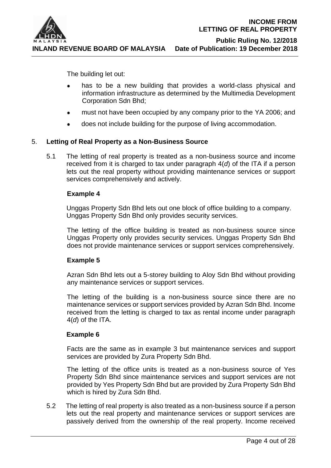

The building let out:

- has to be a new building that provides a world-class physical and information infrastructure as determined by the Multimedia Development Corporation Sdn Bhd;
- must not have been occupied by any company prior to the YA 2006; and  $\bullet$
- $\bullet$ does not include building for the purpose of living accommodation.

#### 5. **Letting of Real Property as a Non-Business Source**

5.1 The letting of real property is treated as a non-business source and income received from it is charged to tax under paragraph 4(*d*) of the ITA if a person lets out the real property without providing maintenance services or support services comprehensively and actively.

#### **Example 4**

Unggas Property Sdn Bhd lets out one block of office building to a company. Unggas Property Sdn Bhd only provides security services.

The letting of the office building is treated as non-business source since Unggas Property only provides security services. Unggas Property Sdn Bhd does not provide maintenance services or support services comprehensively.

#### **Example 5**

Azran Sdn Bhd lets out a 5-storey building to Aloy Sdn Bhd without providing any maintenance services or support services.

The letting of the building is a non-business source since there are no maintenance services or support services provided by Azran Sdn Bhd. Income received from the letting is charged to tax as rental income under paragraph 4(*d*) of the ITA.

#### **Example 6**

Facts are the same as in example 3 but maintenance services and support services are provided by Zura Property Sdn Bhd.

The letting of the office units is treated as a non-business source of Yes Property Sdn Bhd since maintenance services and support services are not provided by Yes Property Sdn Bhd but are provided by Zura Property Sdn Bhd which is hired by Zura Sdn Bhd.

5.2 The letting of real property is also treated as a non-business source if a person lets out the real property and maintenance services or support services are passively derived from the ownership of the real property. Income received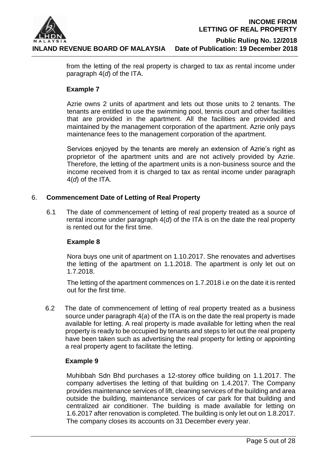

> from the letting of the real property is charged to tax as rental income under paragraph 4(*d*) of the ITA.

#### **Example 7**

Azrie owns 2 units of apartment and lets out those units to 2 tenants. The tenants are entitled to use the swimming pool, tennis court and other facilities that are provided in the apartment. All the facilities are provided and maintained by the management corporation of the apartment. Azrie only pays maintenance fees to the management corporation of the apartment.

Services enjoyed by the tenants are merely an extension of Azrie's right as proprietor of the apartment units and are not actively provided by Azrie. Therefore, the letting of the apartment units is a non-business source and the income received from it is charged to tax as rental income under paragraph 4(*d*) of the ITA.

#### 6. **Commencement Date of Letting of Real Property**

6.1 The date of commencement of letting of real property treated as a source of rental income under paragraph 4(*d*) of the ITA is on the date the real property is rented out for the first time.

#### **Example 8**

Nora buys one unit of apartment on 1.10.2017. She renovates and advertises the letting of the apartment on 1.1.2018. The apartment is only let out on 1.7.2018.

The letting of the apartment commences on 1.7.2018 i.e on the date it is rented out for the first time.

6.2 The date of commencement of letting of real property treated as a business source under paragraph 4(*a*) of the ITA is on the date the real property is made available for letting. A real property is made available for letting when the real property is ready to be occupied by tenants and steps to let out the real property have been taken such as advertising the real property for letting or appointing a real property agent to facilitate the letting.

#### **Example 9**

Muhibbah Sdn Bhd purchases a 12-storey office building on 1.1.2017. The company advertises the letting of that building on 1.4.2017. The Company provides maintenance services of lift, cleaning services of the building and area outside the building, maintenance services of car park for that building and centralized air conditioner. The building is made available for letting on 1.6.2017 after renovation is completed. The building is only let out on 1.8.2017. The company closes its accounts on 31 December every year.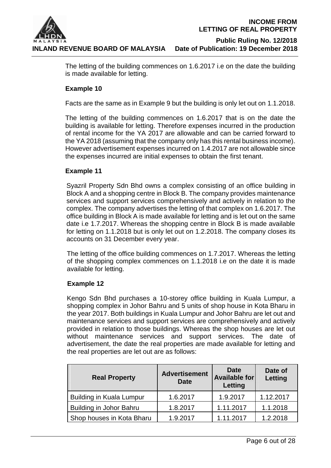

> The letting of the building commences on 1.6.2017 i.e on the date the building is made available for letting.

#### **Example 10**

Facts are the same as in Example 9 but the building is only let out on 1.1.2018.

The letting of the building commences on 1.6.2017 that is on the date the building is available for letting. Therefore expenses incurred in the production of rental income for the YA 2017 are allowable and can be carried forward to the YA 2018 (assuming that the company only has this rental business income). However advertisement expenses incurred on 1.4.2017 are not allowable since the expenses incurred are initial expenses to obtain the first tenant.

#### **Example 11**

Syazril Property Sdn Bhd owns a complex consisting of an office building in Block A and a shopping centre in Block B. The company provides maintenance services and support services comprehensively and actively in relation to the complex. The company advertises the letting of that complex on 1.6.2017. The office building in Block A is made available for letting and is let out on the same date i.e 1.7.2017. Whereas the shopping centre in Block B is made available for letting on 1.1.2018 but is only let out on 1.2.2018. The company closes its accounts on 31 December every year.

The letting of the office building commences on 1.7.2017. Whereas the letting of the shopping complex commences on 1.1.2018 i.e on the date it is made available for letting.

#### **Example 12**

Kengo Sdn Bhd purchases a 10-storey office building in Kuala Lumpur, a shopping complex in Johor Bahru and 5 units of shop house in Kota Bharu in the year 2017. Both buildings in Kuala Lumpur and Johor Bahru are let out and maintenance services and support services are comprehensively and actively provided in relation to those buildings. Whereas the shop houses are let out without maintenance services and support services. The date of advertisement, the date the real properties are made available for letting and the real properties are let out are as follows:

| <b>Real Property</b>            | <b>Advertisement</b><br><b>Date</b> | Date<br><b>Available for</b><br>Letting | Date of<br>Letting |
|---------------------------------|-------------------------------------|-----------------------------------------|--------------------|
| <b>Building in Kuala Lumpur</b> | 1.6.2017                            | 1.9.2017                                | 1.12.2017          |
| Building in Johor Bahru         | 1.8.2017                            | 1.11.2017                               | 1.1.2018           |
| Shop houses in Kota Bharu       | 1.9.2017                            | 1.11.2017                               | 1.2.2018           |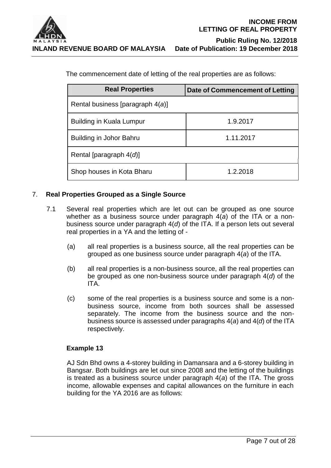

| The commencement date of letting of the real properties are as follows: |                                 |  |  |  |
|-------------------------------------------------------------------------|---------------------------------|--|--|--|
| <b>Real Properties</b>                                                  | Date of Commencement of Letting |  |  |  |

| Rental business [paragraph $4(a)$ ]  |          |  |
|--------------------------------------|----------|--|
| <b>Building in Kuala Lumpur</b>      | 1.9.2017 |  |
| Building in Johor Bahru<br>1.11.2017 |          |  |
| Rental [paragraph $4(d)$ ]           |          |  |
| Shop houses in Kota Bharu            | 1.2.2018 |  |

### 7. **Real Properties Grouped as a Single Source**

- 7.1 Several real properties which are let out can be grouped as one source whether as a business source under paragraph 4(*a*) of the ITA or a nonbusiness source under paragraph 4(*d*) of the ITA. If a person lets out several real properties in a YA and the letting of -
	- (a) all real properties is a business source, all the real properties can be grouped as one business source under paragraph 4(*a*) of the ITA.
	- (b) all real properties is a non-business source, all the real properties can be grouped as one non-business source under paragraph 4(*d*) of the ITA.
	- (c) some of the real properties is a business source and some is a nonbusiness source, income from both sources shall be assessed separately. The income from the business source and the nonbusiness source is assessed under paragraphs 4(*a*) and 4(*d*) of the ITA respectively.

### **Example 13**

AJ Sdn Bhd owns a 4-storey building in Damansara and a 6-storey building in Bangsar. Both buildings are let out since 2008 and the letting of the buildings is treated as a business source under paragraph 4(*a*) of the ITA. The gross income, allowable expenses and capital allowances on the furniture in each building for the YA 2016 are as follows: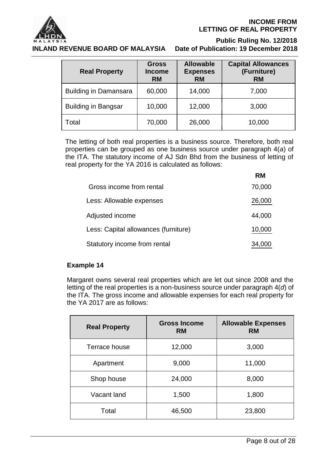

#### **INCOME FROM LETTING OF REAL PROPERTY**

 **Public Ruling No. 12/2018**

| <b>Real Property</b>         | <b>Gross</b><br><b>Income</b><br><b>RM</b> | <b>Allowable</b><br><b>Expenses</b><br><b>RM</b> | <b>Capital Allowances</b><br>(Furniture)<br><b>RM</b> |
|------------------------------|--------------------------------------------|--------------------------------------------------|-------------------------------------------------------|
| <b>Building in Damansara</b> | 60,000                                     | 14,000                                           | 7,000                                                 |
| <b>Building in Bangsar</b>   | 10,000                                     | 12,000                                           | 3,000                                                 |
| Total                        | 70,000                                     | 26,000                                           | 10,000                                                |

The letting of both real properties is a business source. Therefore, both real properties can be grouped as one business source under paragraph 4(*a*) of the ITA. The statutory income of AJ Sdn Bhd from the business of letting of real property for the YA 2016 is calculated as follows:

|                                      | RM     |
|--------------------------------------|--------|
| Gross income from rental             | 70,000 |
| Less: Allowable expenses             | 26,000 |
| Adjusted income                      | 44,000 |
| Less: Capital allowances (furniture) | 10,000 |
| Statutory income from rental         | 34,000 |

### **Example 14**

Margaret owns several real properties which are let out since 2008 and the letting of the real properties is a non-business source under paragraph 4(*d*) of the ITA. The gross income and allowable expenses for each real property for the YA 2017 are as follows:

| <b>Real Property</b> | <b>Gross Income</b><br><b>RM</b> | <b>Allowable Expenses</b><br><b>RM</b> |
|----------------------|----------------------------------|----------------------------------------|
| Terrace house        | 12,000                           | 3,000                                  |
| Apartment            | 9,000                            | 11,000                                 |
| Shop house           | 24,000                           | 8,000                                  |
| Vacant land          | 1,500                            | 1,800                                  |
| Total                | 46,500                           | 23,800                                 |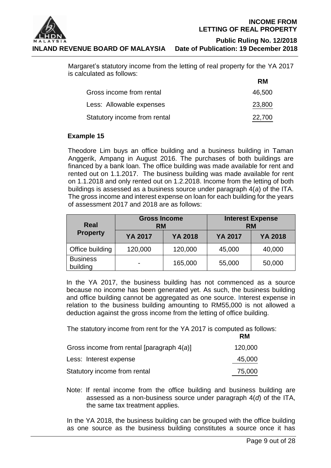

 **Public Ruling No. 12/2018**

Margaret's statutory income from the letting of real property for the YA 2017 is calculated as follows:

|                              | RM     |
|------------------------------|--------|
| Gross income from rental     | 46,500 |
| Less: Allowable expenses     | 23,800 |
| Statutory income from rental | 22,700 |

#### **Example 15**

Theodore Lim buys an office building and a business building in Taman Anggerik, Ampang in August 2016. The purchases of both buildings are financed by a bank loan. The office building was made available for rent and rented out on 1.1.2017. The business building was made available for rent on 1.1.2018 and only rented out on 1.2.2018. Income from the letting of both buildings is assessed as a business source under paragraph 4(*a*) of the ITA. The gross income and interest expense on loan for each building for the years of assessment 2017 and 2018 are as follows:

| Real                        | <b>Gross Income</b><br><b>RM</b> |                | <b>Interest Expense</b><br><b>RM</b> |         |
|-----------------------------|----------------------------------|----------------|--------------------------------------|---------|
| <b>Property</b>             | YA 2017                          | <b>YA 2018</b> | <b>YA 2017</b>                       | YA 2018 |
| Office building             | 120,000                          | 120,000        | 45,000                               | 40,000  |
| <b>Business</b><br>building |                                  | 165,000        | 55,000                               | 50,000  |

In the YA 2017, the business building has not commenced as a source because no income has been generated yet. As such, the business building and office building cannot be aggregated as one source. Interest expense in relation to the business building amounting to RM55,000 is not allowed a deduction against the gross income from the letting of office building.

The statutory income from rent for the YA 2017 is computed as follows:

|                                              | RM      |
|----------------------------------------------|---------|
| Gross income from rental [paragraph $4(a)$ ] | 120,000 |
| Less: Interest expense                       | 45,000  |
| Statutory income from rental                 | 75,000  |

Note: If rental income from the office building and business building are assessed as a non-business source under paragraph 4(*d*) of the ITA, the same tax treatment applies.

In the YA 2018, the business building can be grouped with the office building as one source as the business building constitutes a source once it has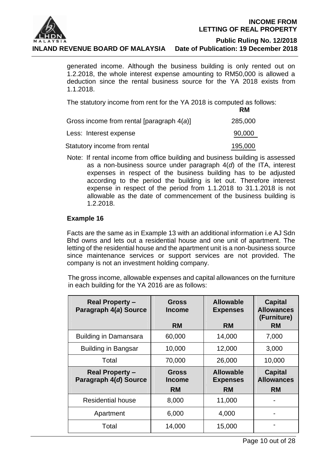

generated income. Although the business building is only rented out on 1.2.2018, the whole interest expense amounting to RM50,000 is allowed a deduction since the rental business source for the YA 2018 exists from 1.1.2018.

The statutory income from rent for the YA 2018 is computed as follows: **RM**

|                                              | .       |
|----------------------------------------------|---------|
| Gross income from rental [paragraph $4(a)$ ] | 285,000 |
| Less: Interest expense                       | 90,000  |
| Statutory income from rental                 | 195,000 |

Note: If rental income from office building and business building is assessed as a non-business source under paragraph 4(*d*) of the ITA, interest expenses in respect of the business building has to be adjusted according to the period the building is let out. Therefore interest expense in respect of the period from 1.1.2018 to 31.1.2018 is not allowable as the date of commencement of the business building is 1.2.2018.

#### **Example 16**

Facts are the same as in Example 13 with an additional information i.e AJ Sdn Bhd owns and lets out a residential house and one unit of apartment. The letting of the residential house and the apartment unit is a non-business source since maintenance services or support services are not provided. The company is not an investment holding company.

The gross income, allowable expenses and capital allowances on the furniture in each building for the YA 2016 are as follows:

| <b>Real Property -</b><br>Paragraph 4(a) Source | <b>Gross</b><br>Income        | <b>Allowable</b><br><b>Expenses</b> | <b>Capital</b><br><b>Allowances</b><br>(Furniture) |
|-------------------------------------------------|-------------------------------|-------------------------------------|----------------------------------------------------|
|                                                 | RM                            | <b>RM</b>                           | <b>RM</b>                                          |
| <b>Building in Damansara</b>                    | 60,000                        | 14,000                              | 7,000                                              |
| <b>Building in Bangsar</b>                      | 10,000                        | 12,000                              | 3,000                                              |
| Total                                           | 70,000                        | 26,000                              | 10,000                                             |
| <b>Real Property -</b><br>Paragraph 4(d) Source | <b>Gross</b><br><b>Income</b> | <b>Allowable</b><br><b>Expenses</b> | <b>Capital</b><br><b>Allowances</b>                |
|                                                 | <b>RM</b>                     | <b>RM</b>                           | <b>RM</b>                                          |
| <b>Residential house</b>                        | 8,000                         | 11,000                              |                                                    |
| Apartment                                       | 6,000                         | 4,000                               |                                                    |
| Total                                           | 14,000                        | 15,000                              |                                                    |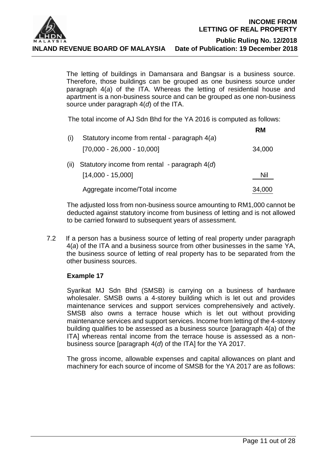

The letting of buildings in Damansara and Bangsar is a business source. Therefore, those buildings can be grouped as one business source under paragraph 4(*a*) of the ITA. Whereas the letting of residential house and apartment is a non-business source and can be grouped as one non-business source under paragraph 4(*d*) of the ITA.

The total income of AJ Sdn Bhd for the YA 2016 is computed as follows:

| (i)  | Statutory income from rental - paragraph 4(a)                          | <b>RM</b> |
|------|------------------------------------------------------------------------|-----------|
|      | $[70,000 - 26,000 - 10,000]$                                           | 34,000    |
| (ii) | Statutory income from rental - paragraph $4(d)$<br>$[14,000 - 15,000]$ | Nil       |
|      | Aggregate income/Total income                                          | 34,000    |

The adjusted loss from non-business source amounting to RM1,000 cannot be deducted against statutory income from business of letting and is not allowed to be carried forward to subsequent years of assessment.

7.2 If a person has a business source of letting of real property under paragraph 4(*a*) of the ITA and a business source from other businesses in the same YA, the business source of letting of real property has to be separated from the other business sources.

#### **Example 17**

Syarikat MJ Sdn Bhd (SMSB) is carrying on a business of hardware wholesaler. SMSB owns a 4-storey building which is let out and provides maintenance services and support services comprehensively and actively. SMSB also owns a terrace house which is let out without providing maintenance services and support services. Income from letting of the 4-storey building qualifies to be assessed as a business source [paragraph 4(a) of the ITA] whereas rental income from the terrace house is assessed as a nonbusiness source [paragraph 4(*d*) of the ITA] for the YA 2017.

The gross income, allowable expenses and capital allowances on plant and machinery for each source of income of SMSB for the YA 2017 are as follows: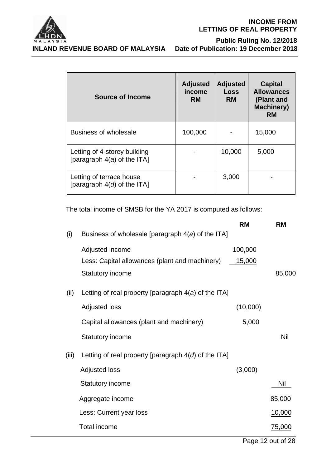

#### **INCOME FROM LETTING OF REAL PROPERTY**

**INLAND REVENUE BOARD OF MALAYSIA** 

# **A Public Ruling No. 12/2018**<br>INLAND REVENUE BOARD OF MALAYSIA Date of Publication: 19 December 2018

| <b>Source of Income</b>                                       | <b>Adjusted</b><br>income<br><b>RM</b> | <b>Adjusted</b><br><b>Loss</b><br><b>RM</b> | <b>Capital</b><br><b>Allowances</b><br>(Plant and<br><b>Machinery)</b><br>RM |
|---------------------------------------------------------------|----------------------------------------|---------------------------------------------|------------------------------------------------------------------------------|
| <b>Business of wholesale</b>                                  | 100,000                                |                                             | 15,000                                                                       |
| Letting of 4-storey building<br>[paragraph $4(a)$ of the ITA] |                                        | 10,000                                      | 5,000                                                                        |
| Letting of terrace house<br>[paragraph $4(d)$ of the ITA]     |                                        | 3,000                                       |                                                                              |

The total income of SMSB for the YA 2017 is computed as follows:

|       |                                                        | <b>RM</b> | <b>RM</b> |
|-------|--------------------------------------------------------|-----------|-----------|
| (i)   | Business of wholesale [paragraph $4(a)$ of the ITA]    |           |           |
|       | Adjusted income                                        | 100,000   |           |
|       | Less: Capital allowances (plant and machinery)         | 15,000    |           |
|       | <b>Statutory income</b>                                |           | 85,000    |
| (ii)  | Letting of real property [paragraph $4(a)$ of the ITA] |           |           |
|       | <b>Adjusted loss</b>                                   | (10,000)  |           |
|       | Capital allowances (plant and machinery)               | 5,000     |           |
|       | <b>Statutory income</b>                                |           | Nil       |
| (iii) | Letting of real property [paragraph $4(d)$ of the ITA] |           |           |
|       | <b>Adjusted loss</b>                                   | (3,000)   |           |
|       | <b>Statutory income</b>                                |           | Nil       |
|       | Aggregate income                                       |           | 85,000    |
|       | Less: Current year loss                                |           | 10,000    |
|       | <b>Total income</b>                                    |           | 75,000    |

Page 12 out of 28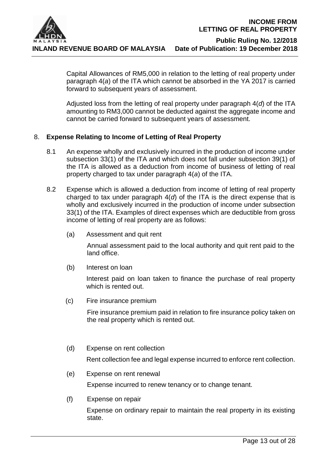

Capital Allowances of RM5,000 in relation to the letting of real property under paragraph 4(*a*) of the ITA which cannot be absorbed in the YA 2017 is carried forward to subsequent years of assessment.

Adjusted loss from the letting of real property under paragraph 4(*d*) of the ITA amounting to RM3,000 cannot be deducted against the aggregate income and cannot be carried forward to subsequent years of assessment.

#### 8. **Expense Relating to Income of Letting of Real Property**

- 8.1 An expense wholly and exclusively incurred in the production of income under subsection 33(1) of the ITA and which does not fall under subsection 39(1) of the ITA is allowed as a deduction from income of business of letting of real property charged to tax under paragraph 4(*a*) of the ITA.
- 8.2 Expense which is allowed a deduction from income of letting of real property charged to tax under paragraph 4(*d*) of the ITA is the direct expense that is wholly and exclusively incurred in the production of income under subsection 33(1) of the ITA. Examples of direct expenses which are deductible from gross income of letting of real property are as follows:
	- (a) Assessment and quit rent

Annual assessment paid to the local authority and quit rent paid to the land office.

(b) Interest on loan

Interest paid on loan taken to finance the purchase of real property which is rented out.

(c) Fire insurance premium

Fire insurance premium paid in relation to fire insurance policy taken on the real property which is rented out.

(d) Expense on rent collection

Rent collection fee and legal expense incurred to enforce rent collection.

(e) Expense on rent renewal

Expense incurred to renew tenancy or to change tenant.

(f) Expense on repair

Expense on ordinary repair to maintain the real property in its existing state.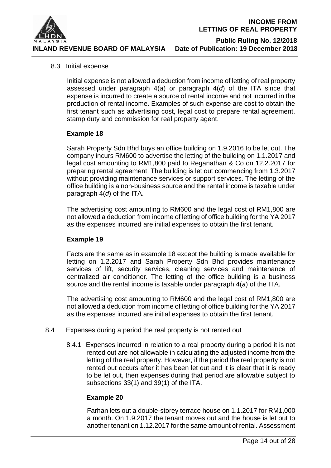

#### 8.3 Initial expense

Initial expense is not allowed a deduction from income of letting of real property assessed under paragraph 4(*a*) or paragraph 4(*d*) of the ITA since that expense is incurred to create a source of rental income and not incurred in the production of rental income. Examples of such expense are cost to obtain the first tenant such as advertising cost, legal cost to prepare rental agreement, stamp duty and commission for real property agent.

#### **Example 18**

Sarah Property Sdn Bhd buys an office building on 1.9.2016 to be let out. The company incurs RM600 to advertise the letting of the building on 1.1.2017 and legal cost amounting to RM1,800 paid to Reganathan & Co on 12.2.2017 for preparing rental agreement. The building is let out commencing from 1.3.2017 without providing maintenance services or support services. The letting of the office building is a non-business source and the rental income is taxable under paragraph 4(*d*) of the ITA.

The advertising cost amounting to RM600 and the legal cost of RM1,800 are not allowed a deduction from income of letting of office building for the YA 2017 as the expenses incurred are initial expenses to obtain the first tenant.

#### **Example 19**

Facts are the same as in example 18 except the building is made available for letting on 1.2.2017 and Sarah Property Sdn Bhd provides maintenance services of lift, security services, cleaning services and maintenance of centralized air conditioner. The letting of the office building is a business source and the rental income is taxable under paragraph 4(*a*) of the ITA.

The advertising cost amounting to RM600 and the legal cost of RM1,800 are not allowed a deduction from income of letting of office building for the YA 2017 as the expenses incurred are initial expenses to obtain the first tenant.

- 8.4 Expenses during a period the real property is not rented out
	- 8.4.1 Expenses incurred in relation to a real property during a period it is not rented out are not allowable in calculating the adjusted income from the letting of the real property. However, if the period the real property is not rented out occurs after it has been let out and it is clear that it is ready to be let out, then expenses during that period are allowable subject to subsections 33(1) and 39(1) of the ITA.

#### **Example 20**

Farhan lets out a double-storey terrace house on 1.1.2017 for RM1,000 a month. On 1.9.2017 the tenant moves out and the house is let out to another tenant on 1.12.2017 for the same amount of rental. Assessment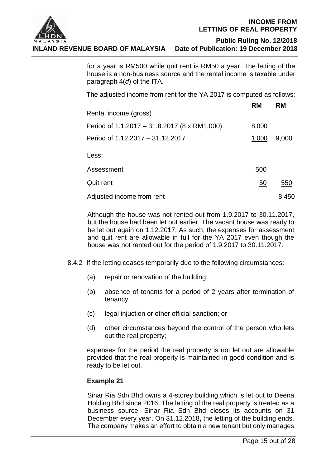

for a year is RM500 while quit rent is RM50 a year. The letting of the house is a non-business source and the rental income is taxable under paragraph 4(*d*) of the ITA.

The adjusted income from rent for the YA 2017 is computed as follows:

|                                              | <b>RM</b> | RM    |
|----------------------------------------------|-----------|-------|
| Rental income (gross)                        |           |       |
| Period of 1.1.2017 – 31.8.2017 (8 x RM1,000) | 8,000     |       |
| Period of 1.12.2017 - 31.12.2017             | 1,000     | 9,000 |
| Less:                                        |           |       |
| Assessment                                   | 500       |       |
| Quit rent                                    | <u>50</u> | 550   |
| Adjusted income from rent                    |           | 8.450 |

Although the house was not rented out from 1.9.2017 to 30.11.2017, but the house had been let out earlier. The vacant house was ready to be let out again on 1.12.2017. As such, the expenses for assessment and quit rent are allowable in full for the YA 2017 even though the house was not rented out for the period of 1.9.2017 to 30.11.2017.

- 8.4.2 If the letting ceases temporarily due to the following circumstances:
	- (a) repair or renovation of the building;
	- (b) absence of tenants for a period of 2 years after termination of tenancy;
	- (c) legal injuction or other official sanction; or
	- (d) other circumstances beyond the control of the person who lets out the real property;

expenses for the period the real property is not let out are allowable provided that the real property is maintained in good condition and is ready to be let out.

#### **Example 21**

Sinar Ria Sdn Bhd owns a 4-storey building which is let out to Deena Holding Bhd since 2016. The letting of the real property is treated as a business source. Sinar Ria Sdn Bhd closes its accounts on 31 December every year. On 31.12.2018**,** the letting of the building ends. The company makes an effort to obtain a new tenant but only manages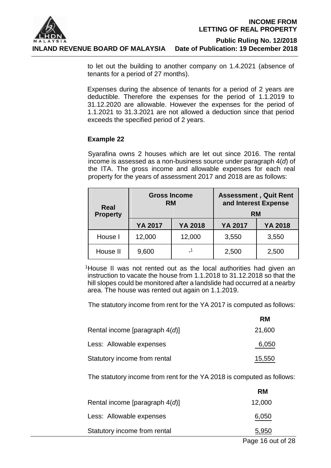

to let out the building to another company on 1.4.2021 (absence of tenants for a period of 27 months).

Expenses during the absence of tenants for a period of 2 years are deductible. Therefore the expenses for the period of 1.1.2019 to 31.12.2020 are allowable. However the expenses for the period of 1.1.2021 to 31.3.2021 are not allowed a deduction since that period exceeds the specified period of 2 years.

#### **Example 22**

Syarafina owns 2 houses which are let out since 2016. The rental income is assessed as a non-business source under paragraph 4(*d*) of the ITA. The gross income and allowable expenses for each real property for the years of assessment 2017 and 2018 are as follows:

| Real<br><b>Property</b> | <b>Gross Income</b><br><b>RM</b> |                          | <b>Assessment, Quit Rent</b><br>and Interest Expense<br><b>RM</b> |         |
|-------------------------|----------------------------------|--------------------------|-------------------------------------------------------------------|---------|
|                         | YA 2017                          | YA 2018                  | <b>YA 2017</b>                                                    | YA 2018 |
| House I                 | 12,000                           | 12,000                   | 3,550                                                             | 3,550   |
| House II                | 9,600                            | $\overline{\phantom{0}}$ | 2,500                                                             | 2,500   |

<sup>1</sup>House II was not rented out as the local authorities had given an instruction to vacate the house from 1.1.2018 to 31.12.2018 so that the hill slopes could be monitored after a landslide had occurred at a nearby area. The house was rented out again on 1.1.2019.

The statutory income from rent for the YA 2017 is computed as follows:

|                                   | <b>RM</b> |
|-----------------------------------|-----------|
| Rental income [paragraph $4(d)$ ] | 21,600    |
| Less: Allowable expenses          | 6,050     |
| Statutory income from rental      | 15,550    |

The statutory income from rent for the YA 2018 is computed as follows:

|                                   | RM     |
|-----------------------------------|--------|
| Rental income [paragraph $4(d)$ ] | 12,000 |
| Less: Allowable expenses          | 6,050  |
| Statutory income from rental      | 5,950  |
|                                   |        |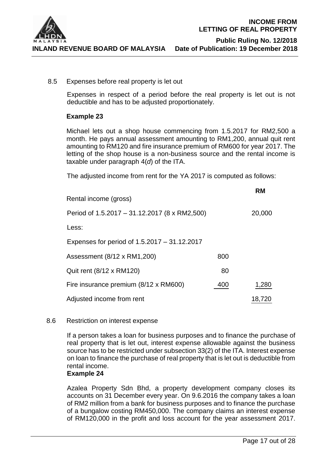

**RM**

8.5 Expenses before real property is let out

Expenses in respect of a period before the real property is let out is not deductible and has to be adjusted proportionately.

#### **Example 23**

Michael lets out a shop house commencing from 1.5.2017 for RM2,500 a month. He pays annual assessment amounting to RM1,200, annual quit rent amounting to RM120 and fire insurance premium of RM600 for year 2017. The letting of the shop house is a non-business source and the rental income is taxable under paragraph 4(*d*) of the ITA.

The adjusted income from rent for the YA 2017 is computed as follows:

| Rental income (gross)                         |     | WW     |
|-----------------------------------------------|-----|--------|
| Period of 1.5.2017 - 31.12.2017 (8 x RM2,500) |     | 20,000 |
| Less:                                         |     |        |
| Expenses for period of 1.5.2017 – 31.12.2017  |     |        |
| Assessment (8/12 x RM1,200)                   | 800 |        |
| Quit rent (8/12 x RM120)                      | 80  |        |
| Fire insurance premium (8/12 x RM600)         | 400 | 1,280  |
| Adjusted income from rent                     |     | 18,720 |

#### 8.6 Restriction on interest expense

If a person takes a loan for business purposes and to finance the purchase of real property that is let out, interest expense allowable against the business source has to be restricted under subsection 33(2) of the ITA. Interest expense on loan to finance the purchase of real property that is let out is deductible from rental income.

#### **Example 24**

Azalea Property Sdn Bhd, a property development company closes its accounts on 31 December every year. On 9.6.2016 the company takes a loan of RM2 million from a bank for business purposes and to finance the purchase of a bungalow costing RM450,000. The company claims an interest expense of RM120,000 in the profit and loss account for the year assessment 2017.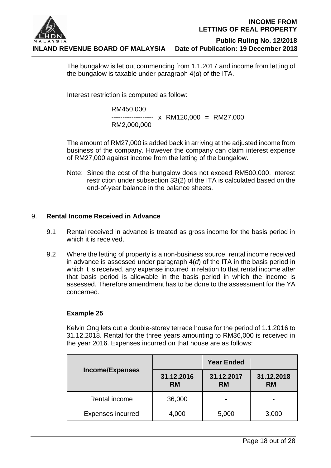

The bungalow is let out commencing from 1.1.2017 and income from letting of the bungalow is taxable under paragraph 4(*d*) of the ITA.

Interest restriction is computed as follow:

RM450,000 ------------------- x RM120,000 = RM27,000 RM2,000,000

The amount of RM27,000 is added back in arriving at the adjusted income from business of the company. However the company can claim interest expense of RM27,000 against income from the letting of the bungalow.

Note: Since the cost of the bungalow does not exceed RM500,000, interest restriction under subsection 33(2) of the ITA is calculated based on the end-of-year balance in the balance sheets.

### 9. **Rental Income Received in Advance**

- 9.1 Rental received in advance is treated as gross income for the basis period in which it is received.
- 9.2 Where the letting of property is a non-business source, rental income received in advance is assessed under paragraph 4(*d*) of the ITA in the basis period in which it is received, any expense incurred in relation to that rental income after that basis period is allowable in the basis period in which the income is assessed. Therefore amendment has to be done to the assessment for the YA concerned.

### **Example 25**

Kelvin Ong lets out a double-storey terrace house for the period of 1.1.2016 to 31.12.2018. Rental for the three years amounting to RM36,000 is received in the year 2016. Expenses incurred on that house are as follows:

|                          | <b>Year Ended</b>                                               |       |            |
|--------------------------|-----------------------------------------------------------------|-------|------------|
| <b>Income/Expenses</b>   | 31.12.2016<br>31.12.2017<br><b>RM</b><br><b>RM</b><br><b>RM</b> |       | 31.12.2018 |
| Rental income            | 36,000                                                          | -     |            |
| <b>Expenses incurred</b> | 4,000                                                           | 5,000 | 3,000      |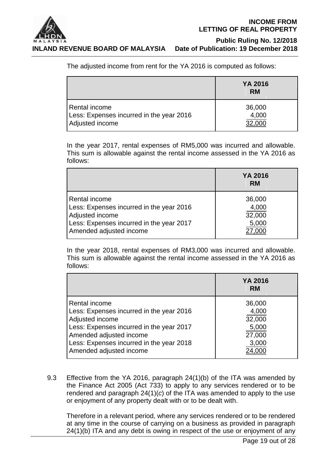

 **Public Ruling No. 12/2018**

The adjusted income from rent for the YA 2016 is computed as follows:

|                                          | YA 2016<br><b>RM</b> |
|------------------------------------------|----------------------|
| Rental income                            | 36,000               |
| Less: Expenses incurred in the year 2016 | 4,000                |
| Adjusted income                          | 32.000               |

In the year 2017, rental expenses of RM5,000 was incurred and allowable. This sum is allowable against the rental income assessed in the YA 2016 as follows:

|                                                                                                                                                     | YA 2016<br><b>RM</b>               |
|-----------------------------------------------------------------------------------------------------------------------------------------------------|------------------------------------|
| Rental income<br>Less: Expenses incurred in the year 2016<br>Adjusted income<br>Less: Expenses incurred in the year 2017<br>Amended adjusted income | 36,000<br>4,000<br>32,000<br>5,000 |

In the year 2018, rental expenses of RM3,000 was incurred and allowable. This sum is allowable against the rental income assessed in the YA 2016 as follows:

|                                          | YA 2016<br><b>RM</b> |
|------------------------------------------|----------------------|
| Rental income                            | 36,000               |
| Less: Expenses incurred in the year 2016 | 4,000                |
| Adjusted income                          | 32,000               |
| Less: Expenses incurred in the year 2017 | 5,000                |
| Amended adjusted income                  | 27,000               |
| Less: Expenses incurred in the year 2018 | 3,000                |
| Amended adjusted income                  |                      |

9.3 Effective from the YA 2016, paragraph 24(1)(b) of the ITA was amended by the Finance Act 2005 (Act 733) to apply to any services rendered or to be rendered and paragraph 24(1)(*c*) of the ITA was amended to apply to the use or enjoyment of any property dealt with or to be dealt with.

Therefore in a relevant period, where any services rendered or to be rendered at any time in the course of carrying on a business as provided in paragraph 24(1)(b) ITA and any debt is owing in respect of the use or enjoyment of any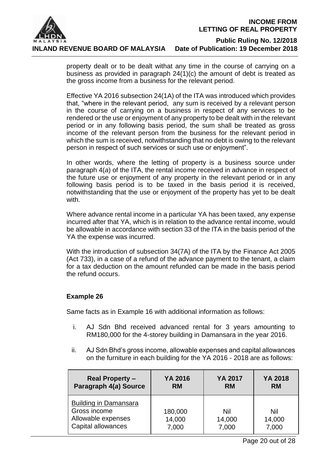

> property dealt or to be dealt withat any time in the course of carrying on a business as provided in paragraph 24(1)(c) the amount of debt is treated as the gross income from a business for the relevant period.

> Effective YA 2016 subsection 24(1A) of the ITA was introduced which provides that, "where in the relevant period, any sum is received by a relevant person in the course of carrying on a business in respect of any services to be rendered or the use or enjoyment of any property to be dealt with in the relevant period or in any following basis period, the sum shall be treated as gross income of the relevant person from the business for the relevant period in which the sum is received, notwithstanding that no debt is owing to the relevant person in respect of such services or such use or enjoyment".

> In other words, where the letting of property is a business source under paragraph 4(*a*) of the ITA, the rental income received in advance in respect of the future use or enjoyment of any property in the relevant period or in any following basis period is to be taxed in the basis period it is received, notwithstanding that the use or enjoyment of the property has yet to be dealt with.

> Where advance rental income in a particular YA has been taxed, any expense incurred after that YA, which is in relation to the advance rental income, would be allowable in accordance with section 33 of the ITA in the basis period of the YA the expense was incurred.

> With the introduction of subsection 34(7A) of the ITA by the Finance Act 2005 (Act 733), in a case of a refund of the advance payment to the tenant, a claim for a tax deduction on the amount refunded can be made in the basis period the refund occurs.

#### **Example 26**

Same facts as in Example 16 with additional information as follows:

- i. AJ Sdn Bhd received advanced rental for 3 years amounting to RM180,000 for the 4-storey building in Damansara in the year 2016.
- ii. AJ Sdn Bhd's gross income, allowable expenses and capital allowances on the furniture in each building for the YA 2016 - 2018 are as follows:

| <b>Real Property –</b>                                                                   | YA 2016                    | <b>YA 2017</b>         | YA 2018                |
|------------------------------------------------------------------------------------------|----------------------------|------------------------|------------------------|
| Paragraph 4(a) Source                                                                    | <b>RM</b>                  | <b>RM</b>              | <b>RM</b>              |
| <b>Building in Damansara</b><br>Gross income<br>Allowable expenses<br>Capital allowances | 180,000<br>14,000<br>7,000 | Nil<br>14,000<br>7,000 | Nil<br>14,000<br>7,000 |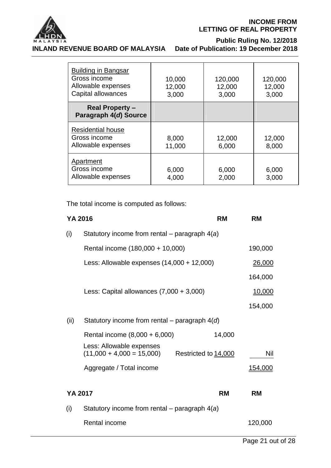

#### **INCOME FROM LETTING OF REAL PROPERTY**

#### **MALAYSIA**<br>INLAND REVENUE BOARD OF MALAYSIA Date of Publication: 19 December 2018 **INLAND REVENUE BOARD OF MALAYSIA**

| <b>Building in Bangsar</b><br>Gross income<br>Allowable expenses<br>Capital allowances | 10,000<br>12,000<br>3,000 | 120,000<br>12,000<br>3,000 | 120,000<br>12,000<br>3,000 |
|----------------------------------------------------------------------------------------|---------------------------|----------------------------|----------------------------|
| <b>Real Property -</b><br>Paragraph 4(d) Source                                        |                           |                            |                            |
| <b>Residential house</b><br>Gross income<br>Allowable expenses                         | 8,000<br>11,000           | 12,000<br>6,000            | 12,000<br>8,000            |
| Apartment<br>Gross income<br>Allowable expenses                                        | 6,000<br>4,000            | 6,000<br>2,000             | 6,000<br>3,000             |

The total income is computed as follows:

| YA 2016 |                                                                                 | <b>RM</b> | <b>RM</b>      |
|---------|---------------------------------------------------------------------------------|-----------|----------------|
| (i)     | Statutory income from rental – paragraph $4(a)$                                 |           |                |
|         | Rental income (180,000 + 10,000)                                                |           | 190,000        |
|         | Less: Allowable expenses $(14,000 + 12,000)$                                    |           | 26,000         |
|         |                                                                                 |           | 164,000        |
|         | Less: Capital allowances $(7,000 + 3,000)$                                      |           | <u>10,000</u>  |
|         |                                                                                 |           | 154,000        |
| (ii)    | Statutory income from rental – paragraph $4(d)$                                 |           |                |
|         | Rental income (8,000 + 6,000)                                                   | 14,000    |                |
|         | Less: Allowable expenses<br>$(11,000 + 4,000 = 15,000)$<br>Restricted to 14,000 |           | Nil            |
|         | Aggregate / Total income                                                        |           | <u>154,000</u> |
|         |                                                                                 |           |                |
| YA 2017 |                                                                                 | <b>RM</b> | <b>RM</b>      |
| (i)     | Statutory income from rental – paragraph $4(a)$                                 |           |                |
|         | Rental income                                                                   |           | 120,000        |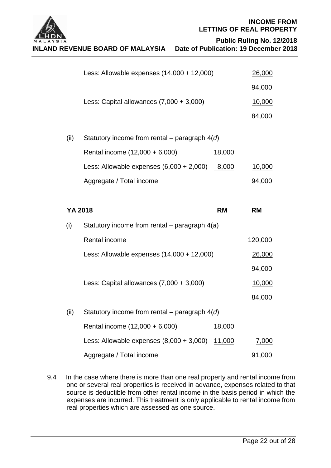

**INCOME FROM LETTING OF REAL PROPERTY**

 **Public Ruling No. 12/2018**

|      | Less: Allowable expenses $(14,000 + 12,000)$     |           | <u>26,000</u> |  |
|------|--------------------------------------------------|-----------|---------------|--|
|      |                                                  |           | 94,000        |  |
|      | Less: Capital allowances $(7,000 + 3,000)$       |           | 10,000        |  |
|      |                                                  |           | 84,000        |  |
| (ii) | Statutory income from rental – paragraph $4(d)$  |           |               |  |
|      | Rental income (12,000 + 6,000)                   | 18,000    |               |  |
|      | Less: Allowable expenses $(6,000 + 2,000)$ 8,000 |           | <u>10,000</u> |  |
|      | Aggregate / Total income                         |           | 94,000        |  |
|      |                                                  |           |               |  |
|      | YA 2018                                          | <b>RM</b> | <b>RM</b>     |  |
| (i)  | Statutory income from rental – paragraph $4(a)$  |           |               |  |
|      | Rental income                                    |           | 120,000       |  |
|      | Less: Allowable expenses $(14,000 + 12,000)$     |           | 26,000        |  |
|      |                                                  |           | 94,000        |  |
|      | Less: Capital allowances $(7,000 + 3,000)$       |           | 10,000        |  |
|      |                                                  |           | 84,000        |  |
| (ii) | Statutory income from rental – paragraph $4(d)$  |           |               |  |
|      | Rental income (12,000 + 6,000)                   | 18,000    |               |  |
|      |                                                  |           |               |  |
|      | Less: Allowable expenses $(8,000 + 3,000)$       | 11,000    | <u>7,000</u>  |  |

9.4 In the case where there is more than one real property and rental income from one or several real properties is received in advance, expenses related to that source is deductible from other rental income in the basis period in which the expenses are incurred. This treatment is only applicable to rental income from real properties which are assessed as one source.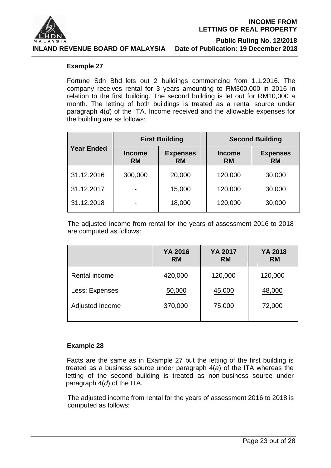

#### **Example 27**

Fortune Sdn Bhd lets out 2 buildings commencing from 1.1.2016. The company receives rental for 3 years amounting to RM300,000 in 2016 in relation to the first building. The second building is let out for RM10,000 a month. The letting of both buildings is treated as a rental source under paragraph 4(*d*) of the ITA. Income received and the allowable expenses for the building are as follows:

|                                                 |         | <b>First Building</b>        |                            | <b>Second Building</b>       |  |
|-------------------------------------------------|---------|------------------------------|----------------------------|------------------------------|--|
| <b>Year Ended</b><br><b>Income</b><br><b>RM</b> |         | <b>Expenses</b><br><b>RM</b> | <b>Income</b><br><b>RM</b> | <b>Expenses</b><br><b>RM</b> |  |
| 31.12.2016                                      | 300,000 | 20,000                       | 120,000                    | 30,000                       |  |
| 31.12.2017                                      |         | 15,000                       | 120,000                    | 30,000                       |  |
| 31.12.2018                                      | -       | 18,000                       | 120,000                    | 30,000                       |  |

The adjusted income from rental for the years of assessment 2016 to 2018 are computed as follows:

|                 | YA 2016<br><b>RM</b> | <b>YA 2017</b><br><b>RM</b> | YA 2018<br><b>RM</b> |
|-----------------|----------------------|-----------------------------|----------------------|
| Rental income   | 420,000              | 120,000                     | 120,000              |
| Less: Expenses  | 50,000               | 45,000                      | 48,000               |
| Adjusted Income | 370,000              | 75,000                      | 72,000               |

#### **Example 28**

Facts are the same as in Example 27 but the letting of the first building is treated as a business source under paragraph 4(*a*) of the ITA whereas the letting of the second building is treated as non-business source under paragraph 4(*d*) of the ITA.

The adjusted income from rental for the years of assessment 2016 to 2018 is computed as follows: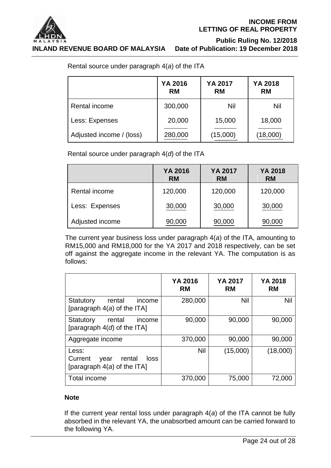

**INLAND REVENUE BOARD OF MALAYSIA Date of Publication: 19 December 2018**

 **Public Ruling No. 12/2018**

Rental source under paragraph 4(*a*) of the ITA

|                          | YA 2016<br><b>RM</b> | YA 2017<br><b>RM</b> | YA 2018<br><b>RM</b> |
|--------------------------|----------------------|----------------------|----------------------|
| Rental income            | 300,000              | Nil                  | <b>Nil</b>           |
| Less: Expenses           | 20,000               | 15,000               | 18,000               |
| Adjusted income / (loss) | 280,000              | (15,000)             | (18,000)             |

Rental source under paragraph 4(*d*) of the ITA

|                 | YA 2016<br><b>RM</b> | YA 2017<br><b>RM</b> | YA 2018<br><b>RM</b> |
|-----------------|----------------------|----------------------|----------------------|
| Rental income   | 120,000              | 120,000              | 120,000              |
| Less: Expenses  | 30,000               | 30,000               | 30,000               |
| Adjusted income | 90,000               | 90,000               | 90,000               |

The current year business loss under paragraph 4(*a*) of the ITA, amounting to RM15,000 and RM18,000 for the YA 2017 and 2018 respectively, can be set off against the aggregate income in the relevant YA. The computation is as follows:

|                                                                             | YA 2016<br><b>RM</b> | <b>YA 2017</b><br><b>RM</b> | <b>YA 2018</b><br><b>RM</b> |
|-----------------------------------------------------------------------------|----------------------|-----------------------------|-----------------------------|
| Statutory<br>rental<br>income<br>[paragraph $4(a)$ of the ITA]              | 280,000              | Nil                         | Nil                         |
| Statutory<br>rental<br>income<br>[paragraph $4(d)$ of the ITA]              | 90,000               | 90,000                      | 90,000                      |
| Aggregate income                                                            | 370,000              | 90,000                      | 90,000                      |
| Less:<br>Current<br>rental<br>loss<br>year<br>[paragraph $4(a)$ of the ITA] | Nil                  | (15,000)                    | (18,000)                    |
| Total income                                                                | 370,000              | 75,000                      | 72,000                      |

### **Note**

If the current year rental loss under paragraph 4(*a*) of the ITA cannot be fully absorbed in the relevant YA, the unabsorbed amount can be carried forward to the following YA.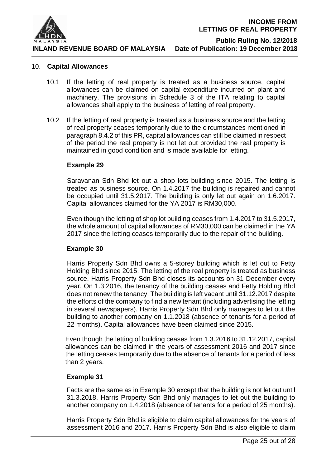

#### 10. **Capital Allowances**

- 10.1 If the letting of real property is treated as a business source, capital allowances can be claimed on capital expenditure incurred on plant and machinery. The provisions in Schedule 3 of the ITA relating to capital allowances shall apply to the business of letting of real property.
- 10.2 If the letting of real property is treated as a business source and the letting of real property ceases temporarily due to the circumstances mentioned in paragraph 8.4.2 of this PR, capital allowances can still be claimed in respect of the period the real property is not let out provided the real property is maintained in good condition and is made available for letting.

#### **Example 29**

Saravanan Sdn Bhd let out a shop lots building since 2015. The letting is treated as business source. On 1.4.2017 the building is repaired and cannot be occupied until 31.5.2017. The building is only let out again on 1.6.2017. Capital allowances claimed for the YA 2017 is RM30,000.

Even though the letting of shop lot building ceases from 1.4.2017 to 31.5.2017, the whole amount of capital allowances of RM30,000 can be claimed in the YA 2017 since the letting ceases temporarily due to the repair of the building.

#### **Example 30**

Harris Property Sdn Bhd owns a 5-storey building which is let out to Fetty Holding Bhd since 2015. The letting of the real property is treated as business source. Harris Property Sdn Bhd closes its accounts on 31 December every year. On 1.3.2016, the tenancy of the building ceases and Fetty Holding Bhd does not renew the tenancy. The building is left vacant until 31.12.2017 despite the efforts of the company to find a new tenant (including advertising the letting in several newspapers). Harris Property Sdn Bhd only manages to let out the building to another company on 1.1.2018 (absence of tenants for a period of 22 months). Capital allowances have been claimed since 2015.

Even though the letting of building ceases from 1.3.2016 to 31.12.2017, capital allowances can be claimed in the years of assessment 2016 and 2017 since the letting ceases temporarily due to the absence of tenants for a period of less than 2 years.

#### **Example 31**

Facts are the same as in Example 30 except that the building is not let out until 31.3.2018. Harris Property Sdn Bhd only manages to let out the building to another company on 1.4.2018 (absence of tenants for a period of 25 months).

Harris Property Sdn Bhd is eligible to claim capital allowances for the years of assessment 2016 and 2017. Harris Property Sdn Bhd is also eligible to claim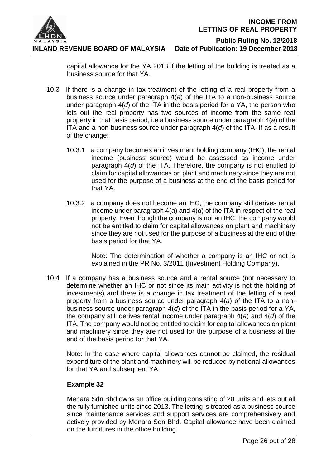

 **Public Ruling No. 12/2018**

**INLAND REVENUE BOARD OF MALAYSIA Date of Publication: 19 December 2018**

capital allowance for the YA 2018 if the letting of the building is treated as a business source for that YA.

- 10.3 If there is a change in tax treatment of the letting of a real property from a business source under paragraph 4(*a*) of the ITA to a non-business source under paragraph 4(*d*) of the ITA in the basis period for a YA, the person who lets out the real property has two sources of income from the same real property in that basis period, i.e a business source under paragraph 4(*a*) of the ITA and a non-business source under paragraph 4(*d*) of the ITA. If as a result of the change:
	- 10.3.1 a company becomes an investment holding company (IHC), the rental income (business source) would be assessed as income under paragraph 4(*d*) of the ITA. Therefore, the company is not entitled to claim for capital allowances on plant and machinery since they are not used for the purpose of a business at the end of the basis period for that YA.
	- 10.3.2 a company does not become an IHC, the company still derives rental income under paragraph 4(*a*) and 4(*d*) of the ITA in respect of the real property. Even though the company is not an IHC, the company would not be entitled to claim for capital allowances on plant and machinery since they are not used for the purpose of a business at the end of the basis period for that YA.

Note: The determination of whether a company is an IHC or not is explained in the PR No. 3/2011 (Investment Holding Company).

10.4 If a company has a business source and a rental source (not necessary to determine whether an IHC or not since its main activity is not the holding of investments) and there is a change in tax treatment of the letting of a real property from a business source under paragraph 4(*a*) of the ITA to a nonbusiness source under paragraph 4(*d*) of the ITA in the basis period for a YA, the company still derives rental income under paragraph 4(*a*) and 4(*d*) of the ITA. The company would not be entitled to claim for capital allowances on plant and machinery since they are not used for the purpose of a business at the end of the basis period for that YA.

Note: In the case where capital allowances cannot be claimed, the residual expenditure of the plant and machinery will be reduced by notional allowances for that YA and subsequent YA.

### **Example 32**

Menara Sdn Bhd owns an office building consisting of 20 units and lets out all the fully furnished units since 2013. The letting is treated as a business source since maintenance services and support services are comprehensively and actively provided by Menara Sdn Bhd. Capital allowance have been claimed on the furnitures in the office building.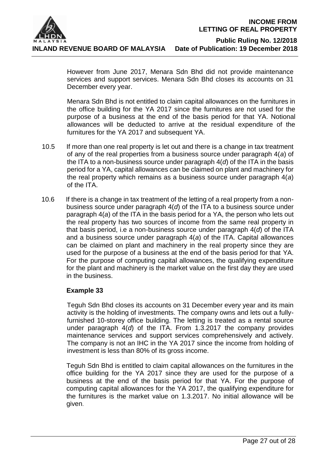

> However from June 2017, Menara Sdn Bhd did not provide maintenance services and support services. Menara Sdn Bhd closes its accounts on 31 December every year.

> Menara Sdn Bhd is not entitled to claim capital allowances on the furnitures in the office building for the YA 2017 since the furnitures are not used for the purpose of a business at the end of the basis period for that YA. Notional allowances will be deducted to arrive at the residual expenditure of the furnitures for the YA 2017 and subsequent YA.

- 10.5 If more than one real property is let out and there is a change in tax treatment of any of the real properties from a business source under paragraph 4(*a*) of the ITA to a non-business source under paragraph 4(*d*) of the ITA in the basis period for a YA, capital allowances can be claimed on plant and machinery for the real property which remains as a business source under paragraph 4(*a*) of the ITA.
- 10.6 If there is a change in tax treatment of the letting of a real property from a nonbusiness source under paragraph 4(*d*) of the ITA to a business source under paragraph 4(*a*) of the ITA in the basis period for a YA, the person who lets out the real property has two sources of income from the same real property in that basis period, i.e a non-business source under paragraph 4(*d*) of the ITA and a business source under paragraph 4(*a*) of the ITA. Capital allowances can be claimed on plant and machinery in the real property since they are used for the purpose of a business at the end of the basis period for that YA. For the purpose of computing capital allowances, the qualifying expenditure for the plant and machinery is the market value on the first day they are used in the business.

#### **Example 33**

Teguh Sdn Bhd closes its accounts on 31 December every year and its main activity is the holding of investments. The company owns and lets out a fullyfurnished 10-storey office building. The letting is treated as a rental source under paragraph 4(*d*) of the ITA. From 1.3.2017 the company provides maintenance services and support services comprehensively and actively. The company is not an IHC in the YA 2017 since the income from holding of investment is less than 80% of its gross income.

Teguh Sdn Bhd is entitled to claim capital allowances on the furnitures in the office building for the YA 2017 since they are used for the purpose of a business at the end of the basis period for that YA. For the purpose of computing capital allowances for the YA 2017, the qualifying expenditure for the furnitures is the market value on 1.3.2017. No initial allowance will be given.